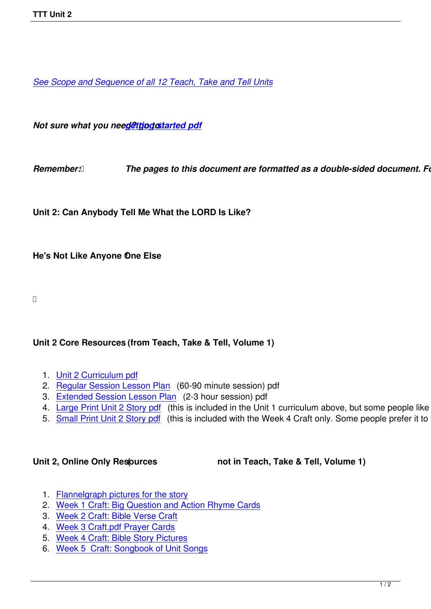*See Scope and Sequence of all 12 Teach, Take and Tell Units*

*Not sure what you need@ttjpgcstarted pdf* 

*Remember: <b><i>[The pages to this d](images/TTT/8 4 11 TTT/New TTT Website Documents/TTT Book portions/2nd GEtting Started.pdf)ocument are formatted as a double-sided document. Follo* 

**Unit 2: Can Anybody Tell Me What the LORD Is Like?**

**He's Not Like Anyone One Else !**

## **Unit 2 Core Resources (from Teach, Take & Tell, Volume 1)**

- 1. Unit 2 Curriculum pdf
- 2. Regular Session Lesson Plan (60-90 minute session) pdf
- 3. Extended Session Lesson Plan (2-3 hour session) pdf
- 4. [Large Print Unit 2 Sto](images/TTT/8 4 11 TTT/Unit 2/Unit 2/4th Unit 2 TTT Curr Portions.pdf)ry pdf (this is included in the Unit 1 curriculum above, but some people like to just
- 5. [Small Print Unit 2 Story pdf \(t](images/TTT/8 4 11 TTT/Unit 2/Unit 2/2nd LP R.pdf)his is included with the Week 4 Craft only. Some people prefer it to the

Unit 2, Online Only Resources **(1)** not in Teach, Take & Tell, Volume 1)

- 1. Flannelgraph pictures for the story
- 2. Week 1 Craft: Big Question and Action Rhyme Cards
- 3. Week 2 Craft: Bible Verse Craft
- 4. [Week 3 Craft.pdf Prayer Cards](images/TTT/8 4 11 TTT/Unit 2/Unit 2/Unit 2 Flannelgraph Pics.pdf)
- 5. [Week 4 Craft: Bible Story Pictures](images/TTT/8 4 11 TTT/Unit 2/Unit 2/2nd Week 1 Craft.pdf)
- 6. [Week 5 Craft: Songbook of Uni](images/TTT/8 4 11 TTT/Unit 2/Unit 2/Unit 2 Week 2 Craft.pdf)t Songs